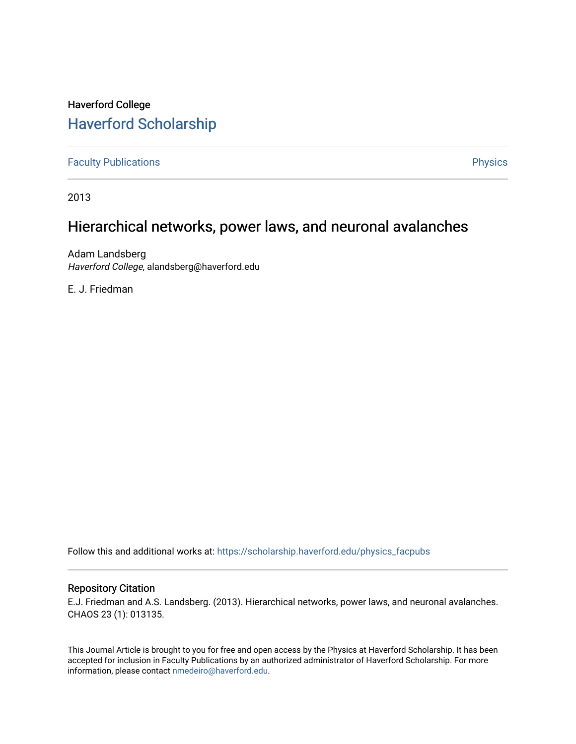# Haverford College [Haverford Scholarship](https://scholarship.haverford.edu/)

[Faculty Publications](https://scholarship.haverford.edu/physics_facpubs) **Physics** 

2013

# Hierarchical networks, power laws, and neuronal avalanches

Adam Landsberg Haverford College, alandsberg@haverford.edu

E. J. Friedman

Follow this and additional works at: [https://scholarship.haverford.edu/physics\\_facpubs](https://scholarship.haverford.edu/physics_facpubs?utm_source=scholarship.haverford.edu%2Fphysics_facpubs%2F538&utm_medium=PDF&utm_campaign=PDFCoverPages) 

## Repository Citation

E.J. Friedman and A.S. Landsberg. (2013). Hierarchical networks, power laws, and neuronal avalanches. CHAOS 23 (1): 013135.

This Journal Article is brought to you for free and open access by the Physics at Haverford Scholarship. It has been accepted for inclusion in Faculty Publications by an authorized administrator of Haverford Scholarship. For more information, please contact [nmedeiro@haverford.edu.](mailto:nmedeiro@haverford.edu)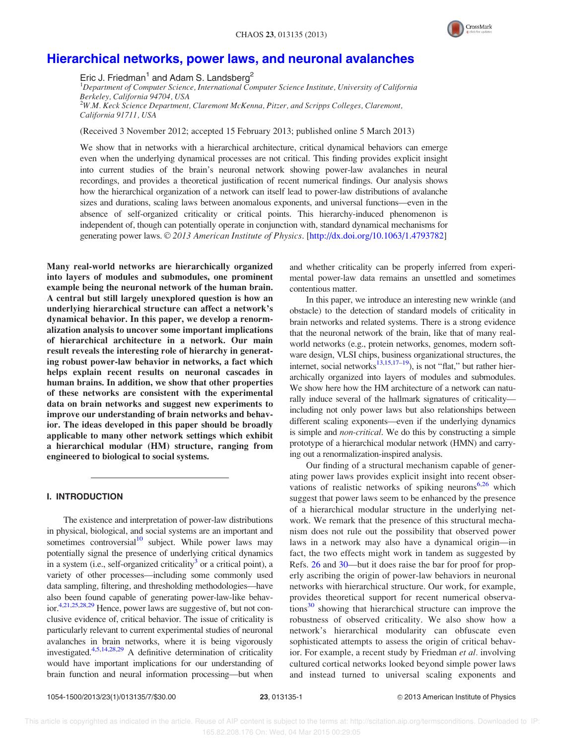

# [Hierarchical networks, power laws, and neuronal avalanches](http://dx.doi.org/10.1063/1.4793782)

Eric J. Friedman<sup>1</sup> and Adam S. Landsberg<sup>2</sup>

<sup>1</sup>Department of Computer Science, International Computer Science Institute, University of California Berkeley, California 94704, USA  $2W.M.$  Keck Science Department, Claremont McKenna, Pitzer, and Scripps Colleges, Claremont, California 91711, USA

(Received 3 November 2012; accepted 15 February 2013; published online 5 March 2013)

We show that in networks with a hierarchical architecture, critical dynamical behaviors can emerge even when the underlying dynamical processes are not critical. This finding provides explicit insight into current studies of the brain's neuronal network showing power-law avalanches in neural recordings, and provides a theoretical justification of recent numerical findings. Our analysis shows how the hierarchical organization of a network can itself lead to power-law distributions of avalanche sizes and durations, scaling laws between anomalous exponents, and universal functions—even in the absence of self-organized criticality or critical points. This hierarchy-induced phenomenon is independent of, though can potentially operate in conjunction with, standard dynamical mechanisms for generating power laws. © 2013 American Institute of Physics. [[http://dx.doi.org/10.1063/1.4793782\]](http://dx.doi.org/10.1063/1.4793782)

Many real-world networks are hierarchically organized into layers of modules and submodules, one prominent example being the neuronal network of the human brain. A central but still largely unexplored question is how an underlying hierarchical structure can affect a network's dynamical behavior. In this paper, we develop a renormalization analysis to uncover some important implications of hierarchical architecture in a network. Our main result reveals the interesting role of hierarchy in generating robust power-law behavior in networks, a fact which helps explain recent results on neuronal cascades in human brains. In addition, we show that other properties of these networks are consistent with the experimental data on brain networks and suggest new experiments to improve our understanding of brain networks and behavior. The ideas developed in this paper should be broadly applicable to many other network settings which exhibit a hierarchical modular (HM) structure, ranging from engineered to biological to social systems.

### I. INTRODUCTION

The existence and interpretation of power-law distributions in physical, biological, and social systems are an important and sometimes controversial $10$  subject. While power laws may potentially signal the presence of underlying critical dynamics in a system (i.e., self-organized criticality<sup>[3](#page-6-0)</sup> or a critical point), a variety of other processes—including some commonly used data sampling, filtering, and thresholding methodologies—have also been found capable of generating power-law-like behavior.[4](#page-6-1)[,21](#page-7-1)[,25,](#page-7-2)[28](#page-7-3)[,29](#page-7-4) Hence, power laws are suggestive of, but not conclusive evidence of, critical behavior. The issue of criticality is particularly relevant to current experimental studies of neuronal avalanches in brain networks, where it is being vigorously investigated. $4,5,14,28,29$  $4,5,14,28,29$  $4,5,14,28,29$  $4,5,14,28,29$  $4,5,14,28,29$  $4,5,14,28,29$  $4,5,14,28,29$  A definitive determination of criticality would have important implications for our understanding of brain function and neural information processing—but when and whether criticality can be properly inferred from experimental power-law data remains an unsettled and sometimes contentious matter.

In this paper, we introduce an interesting new wrinkle (and obstacle) to the detection of standard models of criticality in brain networks and related systems. There is a strong evidence that the neuronal network of the brain, like that of many realworld networks (e.g., protein networks, genomes, modern software design, VLSI chips, business organizational structures, the internet, social networks<sup>[13](#page-7-7)[,15](#page-7-8)[,17–](#page-7-9)[19](#page-7-10)</sup>), is not "flat," but rather hierarchically organized into layers of modules and submodules. We show here how the HM architecture of a network can naturally induce several of the hallmark signatures of criticality including not only power laws but also relationships between different scaling exponents—even if the underlying dynamics is simple and non-critical. We do this by constructing a simple prototype of a hierarchical modular network (HMN) and carrying out a renormalization-inspired analysis.

Our finding of a structural mechanism capable of generating power laws provides explicit insight into recent observations of realistic networks of spiking neurons $6,26$  $6,26$  which suggest that power laws seem to be enhanced by the presence of a hierarchical modular structure in the underlying network. We remark that the presence of this structural mechanism does not rule out the possibility that observed power laws in a network may also have a dynamical origin—in fact, the two effects might work in tandem as suggested by Refs. [26](#page-7-12) and [30—](#page-7-13)but it does raise the bar for proof for properly ascribing the origin of power-law behaviors in neuronal networks with hierarchical structure. Our work, for example, provides theoretical support for recent numerical observa- $tions<sup>30</sup>$  $tions<sup>30</sup>$  $tions<sup>30</sup>$  showing that hierarchical structure can improve the robustness of observed criticality. We also show how a network's hierarchical modularity can obfuscate even sophisticated attempts to assess the origin of critical behavior. For example, a recent study by Friedman et al. involving cultured cortical networks looked beyond simple power laws and instead turned to universal scaling exponents and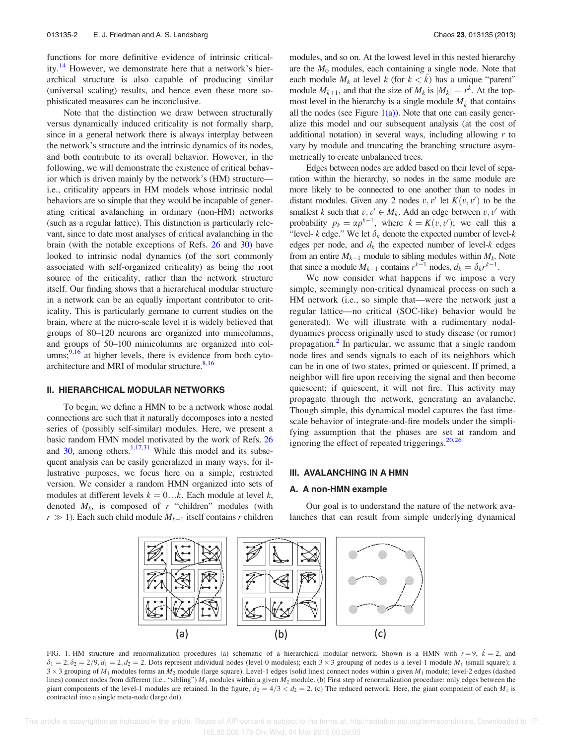functions for more definitive evidence of intrinsic critical-ity.<sup>[14](#page-7-6)</sup> However, we demonstrate here that a network's hierarchical structure is also capable of producing similar (universal scaling) results, and hence even these more sophisticated measures can be inconclusive.

Note that the distinction we draw between structurally versus dynamically induced criticality is not formally sharp, since in a general network there is always interplay between the network's structure and the intrinsic dynamics of its nodes, and both contribute to its overall behavior. However, in the following, we will demonstrate the existence of critical behavior which is driven mainly by the network's (HM) structure i.e., criticality appears in HM models whose intrinsic nodal behaviors are so simple that they would be incapable of generating critical avalanching in ordinary (non-HM) networks (such as a regular lattice). This distinction is particularly relevant, since to date most analyses of critical avalanching in the brain (with the notable exceptions of Refs. [26](#page-7-12) and [30](#page-7-13)) have looked to intrinsic nodal dynamics (of the sort commonly associated with self-organized criticality) as being the root source of the criticality, rather than the network structure itself. Our finding shows that a hierarchical modular structure in a network can be an equally important contributor to criticality. This is particularly germane to current studies on the brain, where at the micro-scale level it is widely believed that groups of 80–120 neurons are organized into minicolumns, and groups of 50–100 minicolumns are organized into columns; $^{9,16}$  $^{9,16}$  $^{9,16}$  $^{9,16}$  at higher levels, there is evidence from both cyto-architecture and MRI of modular structure.<sup>[8,](#page-7-16)[16](#page-7-15)</sup>

### <span id="page-2-0"></span>II. HIERARCHICAL MODULAR NETWORKS

To begin, we define a HMN to be a network whose nodal connections are such that it naturally decomposes into a nested series of (possibly self-similar) modules. Here, we present a basic random HMN model motivated by the work of Refs. [26](#page-7-12) and  $30$ , among others.<sup>[1](#page-6-2)[,17](#page-7-9)[,31](#page-7-17)</sup> While this model and its subsequent analysis can be easily generalized in many ways, for illustrative purposes, we focus here on a simple, restricted version. We consider a random HMN organized into sets of modules at different levels  $k = 0...k$ . Each module at level k, denoted  $M_k$ , is composed of r "children" modules (with  $r \gg 1$ ). Each such child module  $M_{k-1}$  itself contains r children modules, and so on. At the lowest level in this nested hierarchy are the  $M_0$  modules, each containing a single node. Note that each module  $M_k$  at level k (for  $k < \hat{k}$ ) has a unique "parent" module  $M_{k+1}$ , and that the size of  $M_k$  is  $|M_k| = r^k$ . At the topmost level in the hierarchy is a single module  $M_{\hat{\nu}}$  that contains all the nodes (see Figure  $1(a)$ ). Note that one can easily generalize this model and our subsequent analysis (at the cost of additional notation) in several ways, including allowing  $r$  to vary by module and truncating the branching structure asymmetrically to create unbalanced trees.

Edges between nodes are added based on their level of separation within the hierarchy, so nodes in the same module are more likely to be connected to one another than to nodes in distant modules. Given any 2 nodes  $v, v'$  let  $K(v, v')$  to be the smallest k such that  $v, v' \in M_k$ . Add an edge between  $v, v'$  with probability  $p_k = \alpha \rho^{k-1}$ , where  $k = K(v, v')$ ; we call this a "level- k edge." We let  $\delta_k$  denote the expected number of level-k edges per node, and  $d_k$  the expected number of level- $k$  edges from an entire  $M_{k-1}$  module to sibling modules within  $M_k$ . Note that since a module  $M_{k-1}$  contains  $r^{k-1}$  nodes,  $d_k = \delta_k r^{k-1}$ .

We now consider what happens if we impose a very simple, seemingly non-critical dynamical process on such a HM network (i.e., so simple that—were the network just a regular lattice—no critical (SOC-like) behavior would be generated). We will illustrate with a rudimentary nodaldynamics process originally used to study disease (or rumor) propagation.[2](#page-6-3) In particular, we assume that a single random node fires and sends signals to each of its neighbors which can be in one of two states, primed or quiescent. If primed, a neighbor will fire upon receiving the signal and then become quiescent; if quiescent, it will not fire. This activity may propagate through the network, generating an avalanche. Though simple, this dynamical model captures the fast timescale behavior of integrate-and-fire models under the simplifying assumption that the phases are set at random and ignoring the effect of repeated triggerings. $20,26$  $20,26$ 

#### III. AVALANCHING IN A HMN

#### A. A non-HMN example

Our goal is to understand the nature of the network avalanches that can result from simple underlying dynamical



FIG. 1. HM structure and renormalization procedures (a) schematic of a hierarchical modular network. Shown is a HMN with  $r = 9$ ,  $k = 2$ , and  $\delta_1 = 2, \delta_2 = 2/9, d_1 = 2, d_2 = 2$ . Dots represent individual nodes (level-0 modules); each  $3 \times 3$  grouping of nodes is a level-1 module  $M_1$  (small square); a  $3 \times 3$  grouping of  $M_1$  modules forms an  $M_2$  module (large square). Level-1 edges (solid lines) connect nodes within a given  $M_1$  module; level-2 edges (dashed lines) connect nodes from different (i.e., "sibling")  $M_1$  modules within a given  $M_2$  module. (b) First step of renormalization procedure: only edges between the giant components of the level-1 modules are retained. In the figure,  $\hat{d}_2 = 4/3 < d_2 = 2$ . (c) The reduced network. Here, the giant component of each  $M_1$  is contracted into a single meta-node (large dot).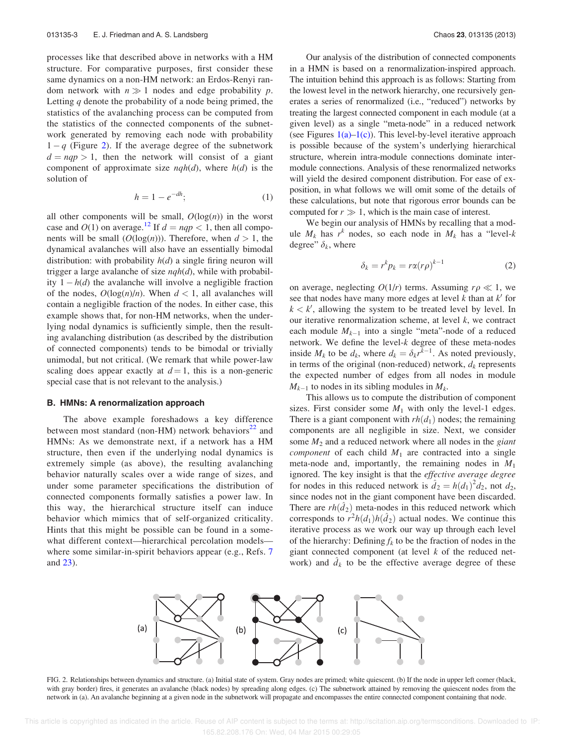processes like that described above in networks with a HM structure. For comparative purposes, first consider these same dynamics on a non-HM network: an Erdos-Renyi random network with  $n \gg 1$  nodes and edge probability p. Letting  $q$  denote the probability of a node being primed, the statistics of the avalanching process can be computed from the statistics of the connected components of the subnetwork generated by removing each node with probability  $1 - q$  (Figure [2\)](#page-3-0). If the average degree of the subnetwork  $d = nqp > 1$ , then the network will consist of a giant component of approximate size  $ngh(d)$ , where  $h(d)$  is the solution of

$$
h = 1 - e^{-dh};\tag{1}
$$

all other components will be small,  $O(log(n))$  in the worst case and  $O(1)$  on average.<sup>[12](#page-7-19)</sup> If  $d = nqp < 1$ , then all components will be small  $(O(log(n)))$ . Therefore, when  $d > 1$ , the dynamical avalanches will also have an essentially bimodal distribution: with probability  $h(d)$  a single firing neuron will trigger a large avalanche of size  $ngh(d)$ , while with probability  $1 - h(d)$  the avalanche will involve a negligible fraction of the nodes,  $O(log(n)/n)$ . When  $d < 1$ , all avalanches will contain a negligible fraction of the nodes. In either case, this example shows that, for non-HM networks, when the underlying nodal dynamics is sufficiently simple, then the resulting avalanching distribution (as described by the distribution of connected components) tends to be bimodal or trivially unimodal, but not critical. (We remark that while power-law scaling does appear exactly at  $d = 1$ , this is a non-generic special case that is not relevant to the analysis.)

#### B. HMNs: A renormalization approach

<span id="page-3-0"></span>The above example foreshadows a key difference between most standard (non-HM) network behaviors $^{22}$  $^{22}$  $^{22}$  and HMNs: As we demonstrate next, if a network has a HM structure, then even if the underlying nodal dynamics is extremely simple (as above), the resulting avalanching behavior naturally scales over a wide range of sizes, and under some parameter specifications the distribution of connected components formally satisfies a power law. In this way, the hierarchical structure itself can induce behavior which mimics that of self-organized criticality. Hints that this might be possible can be found in a somewhat different context—hierarchical percolation models— where some similar-in-spirit behaviors appear (e.g., Refs. [7](#page-7-21)) and [23\)](#page-7-22).

Our analysis of the distribution of connected components in a HMN is based on a renormalization-inspired approach. The intuition behind this approach is as follows: Starting from the lowest level in the network hierarchy, one recursively generates a series of renormalized (i.e., "reduced") networks by treating the largest connected component in each module (at a given level) as a single "meta-node" in a reduced network (see Figures  $1(a)$ – $1(c)$ ). This level-by-level iterative approach is possible because of the system's underlying hierarchical structure, wherein intra-module connections dominate intermodule connections. Analysis of these renormalized networks will yield the desired component distribution. For ease of exposition, in what follows we will omit some of the details of these calculations, but note that rigorous error bounds can be computed for  $r \gg 1$ , which is the main case of interest.

We begin our analysis of HMNs by recalling that a module  $M_k$  has  $r^k$  nodes, so each node in  $M_k$  has a "level-k" degree"  $\delta_k$ , where

$$
\delta_k = r^k p_k = r \alpha (r \rho)^{k-1} \tag{2}
$$

on average, neglecting  $O(1/r)$  terms. Assuming  $r\rho \ll 1$ , we see that nodes have many more edges at level  $k$  than at  $k'$  for  $k < k'$ , allowing the system to be treated level by level. In our iterative renormalization scheme, at level  $k$ , we contract each module  $M_{k-1}$  into a single "meta"-node of a reduced network. We define the level-k degree of these meta-nodes inside  $M_k$  to be  $d_k$ , where  $d_k = \delta_k r^{k-1}$ . As noted previously, in terms of the original (non-reduced) network,  $d_k$  represents the expected number of edges from all nodes in module  $M_{k-1}$  to nodes in its sibling modules in  $M_k$ .

This allows us to compute the distribution of component sizes. First consider some  $M_1$  with only the level-1 edges. There is a giant component with  $rh(d_1)$  nodes; the remaining components are all negligible in size. Next, we consider some  $M_2$  and a reduced network where all nodes in the *giant* component of each child  $M_1$  are contracted into a single meta-node and, importantly, the remaining nodes in  $M_1$ ignored. The key insight is that the *effective average degree* for nodes in this reduced network is  $\hat{d}_2 = h(d_1)^2 \hat{d}_2$ , not  $d_2$ , since nodes not in the giant component have been discarded. There are  $rh(\hat{d}_2)$  meta-nodes in this reduced network which corresponds to  $r^2h(d_1)h(\hat{d}_2)$  actual nodes. We continue this iterative process as we work our way up through each level of the hierarchy: Defining  $f_k$  to be the fraction of nodes in the giant connected component (at level  $k$  of the reduced network) and  $\hat{d}_k$  to be the effective average degree of these



FIG. 2. Relationships between dynamics and structure. (a) Initial state of system. Gray nodes are primed; white quiescent. (b) If the node in upper left corner (black, with gray border) fires, it generates an avalanche (black nodes) by spreading along edges. (c) The subnetwork attained by removing the quiescent nodes from the network in (a). An avalanche beginning at a given node in the subnetwork will propagate and encompasses the entire connected component containing that node.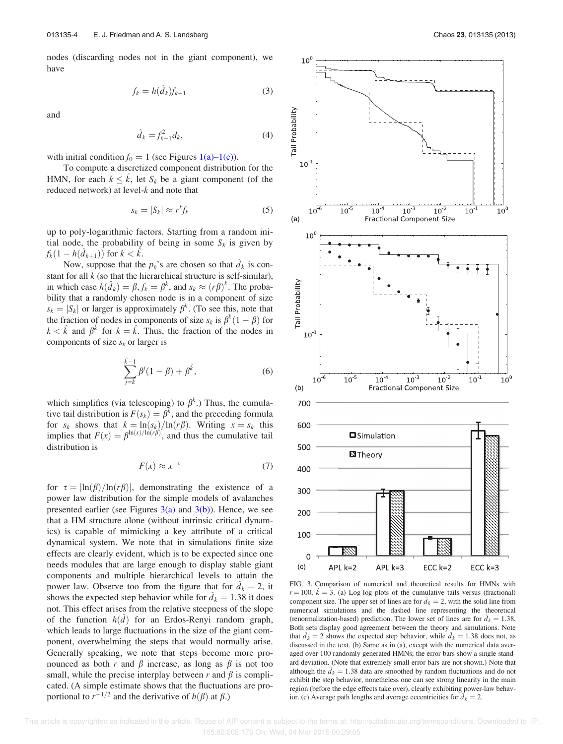nodes (discarding nodes not in the giant component), we have

$$
f_k = h(\hat{d}_k)f_{k-1} \tag{3}
$$

and

$$
\hat{d}_k = f_{k-1}^2 d_k,\tag{4}
$$

with initial condition  $f_0 = 1$  (see Figures [1\(a\)–1\(c\)\)](#page-2-0).

To compute a discretized component distribution for the HMN, for each  $k \leq \hat{k}$ , let  $S_k$  be a giant component (of the reduced network) at level-k and note that

$$
s_k = |S_k| \approx r^k f_k \tag{5}
$$

up to poly-logarithmic factors. Starting from a random initial node, the probability of being in some  $S_k$  is given by  $f_k(1-h(\hat{d}_{k+1}))$  for  $k < \hat{k}$ .

<span id="page-4-0"></span>Now, suppose that the  $p_k$ 's are chosen so that  $\hat{d}_k$  is constant for all  $k$  (so that the hierarchical structure is self-similar), in which case  $h(\hat{d}_k) = \beta, f_k = \beta^k$ , and  $s_k \approx (r\beta)^k$ . The probability that a randomly chosen node is in a component of size  $s_k = |S_k|$  or larger is approximately  $\beta^k$ . (To see this, note that the fraction of nodes in components of size  $s_k$  is  $\beta^k(1-\beta)$  for  $k < \hat{k}$  and  $\beta^{\hat{k}}$  for  $k = \hat{k}$ . Thus, the fraction of the nodes in components of size  $s_k$  or larger is

$$
\sum_{j=k}^{\hat{k}-1} \beta^j (1-\beta) + \beta^{\hat{k}}, \tag{6}
$$

which simplifies (via telescoping) to  $\beta^k$ .) Thus, the cumulative tail distribution is  $F(s_k) = \beta^k$ , and the preceding formula for  $s_k$  shows that  $k = \ln(s_k)/\ln(r\beta)$ . Writing  $x = s_k$  this implies that  $F(x) = \beta^{\ln(x)/\ln(r\beta)}$ , and thus the cumulative tail distribution is

$$
F(x) \approx x^{-\tau} \tag{7}
$$

for  $\tau = \ln(\beta)/\ln(r\beta)$ , demonstrating the existence of a power law distribution for the simple models of avalanches presented earlier (see Figures  $3(a)$  and  $3(b)$ ). Hence, we see that a HM structure alone (without intrinsic critical dynamics) is capable of mimicking a key attribute of a critical dynamical system. We note that in simulations finite size effects are clearly evident, which is to be expected since one needs modules that are large enough to display stable giant components and multiple hierarchical levels to attain the power law. Observe too from the figure that for  $\hat{d}_k = 2$ , it shows the expected step behavior while for  $\hat{d}_k = 1.38$  it does not. This effect arises from the relative steepness of the slope of the function  $h(\tilde{d})$  for an Erdos-Renyi random graph, which leads to large fluctuations in the size of the giant component, overwhelming the steps that would normally arise. Generally speaking, we note that steps become more pronounced as both r and  $\beta$  increase, as long as  $\beta$  is not too small, while the precise interplay between r and  $\beta$  is complicated. (A simple estimate shows that the fluctuations are proportional to  $r^{-1/2}$  and the derivative of  $h(\beta)$  at  $\beta$ .)



FIG. 3. Comparison of numerical and theoretical results for HMNs with  $r = 100$ ,  $\hat{k} = 3$ . (a) Log-log plots of the cumulative tails versus (fractional) component size. The upper set of lines are for  $\hat{d}_k = 2$ , with the solid line from numerical simulations and the dashed line representing the theoretical (renormalization-based) prediction. The lower set of lines are for  $\hat{d}_k = 1.38$ . Both sets display good agreement between the theory and simulations. Note that  $\hat{d}_k = 2$  shows the expected step behavior, while  $\hat{d}_k = 1.38$  does not, as discussed in the text. (b) Same as in (a), except with the numerical data averaged over 100 randomly generated HMNs; the error bars show a single standard deviation. (Note that extremely small error bars are not shown.) Note that although the  $\hat{d}_k = 1.38$  data are smoothed by random fluctuations and do not exhibit the step behavior, nonetheless one can see strong linearity in the main region (before the edge effects take over), clearly exhibiting power-law behavior. (c) Average path lengths and average eccentricities for  $\hat{d}_k = 2$ .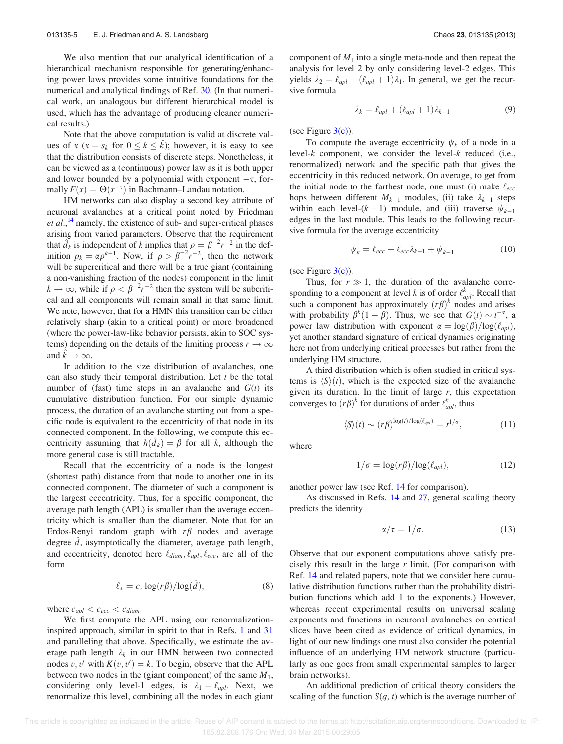We also mention that our analytical identification of a hierarchical mechanism responsible for generating/enhancing power laws provides some intuitive foundations for the numerical and analytical findings of Ref. [30](#page-7-13). (In that numerical work, an analogous but different hierarchical model is used, which has the advantage of producing cleaner numerical results.)

Note that the above computation is valid at discrete values of x ( $x = s_k$  for  $0 \le k \le k$ ); however, it is easy to see that the distribution consists of discrete steps. Nonetheless, it can be viewed as a (continuous) power law as it is both upper and lower bounded by a polynomial with exponent  $-\tau$ , formally  $F(x) = \Theta(x^{-\tau})$  in Bachmann–Landau notation.

HM networks can also display a second key attribute of neuronal avalanches at a critical point noted by Friedman  $et al.,<sup>14</sup>$  $et al.,<sup>14</sup>$  $et al.,<sup>14</sup>$  namely, the existence of sub- and super-critical phases arising from varied parameters. Observe that the requirement that  $\tilde{d}_k$  is independent of k implies that  $\rho = \beta^{-2} r^{-2}$  in the definition  $p_k = \alpha \rho^{k-1}$ . Now, if  $\rho > \beta^{-2} r^{-2}$ , then the network will be supercritical and there will be a true giant (containing a non-vanishing fraction of the nodes) component in the limit  $k \to \infty$ , while if  $\rho < \beta^{-2} r^{-2}$  then the system will be subcritical and all components will remain small in that same limit. We note, however, that for a HMN this transition can be either relatively sharp (akin to a critical point) or more broadened (where the power-law-like behavior persists, akin to SOC systems) depending on the details of the limiting process  $r \to \infty$ and  $k \to \infty$ .

In addition to the size distribution of avalanches, one can also study their temporal distribution. Let  $t$  be the total number of (fast) time steps in an avalanche and  $G(t)$  its cumulative distribution function. For our simple dynamic process, the duration of an avalanche starting out from a specific node is equivalent to the eccentricity of that node in its connected component. In the following, we compute this eccentricity assuming that  $h(\hat{d}_k) = \beta$  for all k, although the more general case is still tractable.

Recall that the eccentricity of a node is the longest (shortest path) distance from that node to another one in its connected component. The diameter of such a component is the largest eccentricity. Thus, for a specific component, the average path length (APL) is smaller than the average eccentricity which is smaller than the diameter. Note that for an Erdos-Renyi random graph with  $r\beta$  nodes and average degree  $d$ , asymptotically the diameter, average path length, and eccentricity, denoted here  $\ell_{diam}$ ,  $\ell_{apl}$ ,  $\ell_{ecc}$ , are all of the form

$$
\ell_* = c_* \log(r\beta) / \log(\hat{d}),\tag{8}
$$

where  $c_{\text{apl}} < c_{\text{ecc}} < c_{\text{diam}}$ .

We first compute the APL using our renormalizationinspired approach, similar in spirit to that in Refs. [1](#page-6-2) and [31](#page-7-17) and paralleling that above. Specifically, we estimate the average path length  $\lambda_k$  in our HMN between two connected nodes v, v' with  $K(v, v') = k$ . To begin, observe that the APL between two nodes in the (giant component) of the same  $M_1$ , considering only level-1 edges, is  $\lambda_1 = \ell_{\alpha pl}$ . Next, we renormalize this level, combining all the nodes in each giant

component of  $M_1$  into a single meta-node and then repeat the analysis for level 2 by only considering level-2 edges. This yields  $\lambda_2 = \ell_{apl} + (\ell_{apl} + 1)\lambda_1$ . In general, we get the recursive formula

$$
\lambda_k = \ell_{apl} + (\ell_{apl} + 1)\lambda_{k-1} \tag{9}
$$

(see Figure  $3(c)$ ).

To compute the average eccentricity  $\psi_k$  of a node in a level- $k$  component, we consider the level- $k$  reduced (i.e., renormalized) network and the specific path that gives the eccentricity in this reduced network. On average, to get from the initial node to the farthest node, one must (i) make  $\ell_{ecc}$ hops between different  $M_{k-1}$  modules, (ii) take  $\lambda_{k-1}$  steps within each level- $(k-1)$  module, and (iii) traverse  $\psi_{k-1}$ edges in the last module. This leads to the following recursive formula for the average eccentricity

$$
\psi_k = \ell_{ecc} + \ell_{ecc}\lambda_{k-1} + \psi_{k-1}
$$
\n(10)

(see Figure  $3(c)$ ).

Thus, for  $r \gg 1$ , the duration of the avalanche corresponding to a component at level k is of order  $\ell_{app}^k$ . Recall that such a component has approximately  $(r\beta)^k$  nodes and arises with probability  $\beta^k(1-\beta)$ . Thus, we see that  $G(t) \sim t^{-\alpha}$ , a power law distribution with exponent  $\alpha = \log(\beta)/\log(\ell_{\text{apl}})$ , yet another standard signature of critical dynamics originating here not from underlying critical processes but rather from the underlying HM structure.

A third distribution which is often studied in critical systems is  $\langle S \rangle(t)$ , which is the expected size of the avalanche given its duration. In the limit of large  $r$ , this expectation converges to  $(r\beta)^k$  for durations of order  $\ell_{apl}^k$ , thus

$$
\langle S \rangle(t) \sim (r\beta)^{\log(t)/\log(\ell_{\text{apl}})} = t^{1/\sigma},\tag{11}
$$

where

$$
1/\sigma = \log(r\beta)/\log(\ell_{apl}),\tag{12}
$$

another power law (see Ref. [14](#page-7-6) for comparison).

As discussed in Refs. [14](#page-7-6) and [27](#page-7-23), general scaling theory predicts the identity

$$
\alpha/\tau = 1/\sigma. \tag{13}
$$

Observe that our exponent computations above satisfy precisely this result in the large  $r$  limit. (For comparison with Ref. [14](#page-7-6) and related papers, note that we consider here cumulative distribution functions rather than the probability distribution functions which add 1 to the exponents.) However, whereas recent experimental results on universal scaling exponents and functions in neuronal avalanches on cortical slices have been cited as evidence of critical dynamics, in light of our new findings one must also consider the potential influence of an underlying HM network structure (particularly as one goes from small experimental samples to larger brain networks).

An additional prediction of critical theory considers the scaling of the function  $S(q, t)$  which is the average number of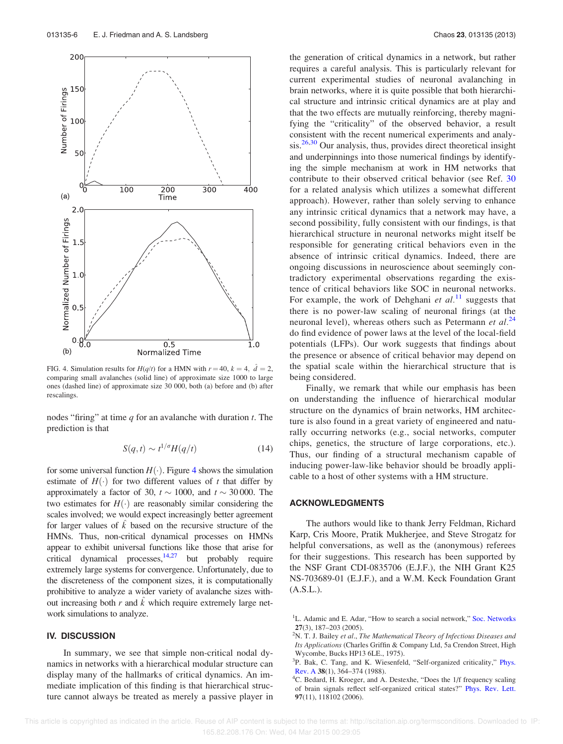<span id="page-6-4"></span>

FIG. 4. Simulation results for  $H(q/t)$  for a HMN with  $r = 40$ ,  $k = 4$ ,  $\hat{d} = 2$ , comparing small avalanches (solid line) of approximate size 1000 to large ones (dashed line) of approximate size 30 000, both (a) before and (b) after rescalings.

nodes "firing" at time  $q$  for an avalanche with duration  $t$ . The prediction is that

$$
S(q,t) \sim t^{1/\sigma} H(q/t) \tag{14}
$$

for some universal function  $H(\cdot)$ . Figure [4](#page-6-4) shows the simulation estimate of  $H(\cdot)$  for two different values of t that differ by approximately a factor of 30,  $t \sim 1000$ , and  $t \sim 30000$ . The two estimates for  $H(\cdot)$  are reasonably similar considering the scales involved; we would expect increasingly better agreement for larger values of  $\hat{k}$  based on the recursive structure of the HMNs. Thus, non-critical dynamical processes on HMNs appear to exhibit universal functions like those that arise for critical dynamical processes, $14,27$  $14,27$  but probably require extremely large systems for convergence. Unfortunately, due to the discreteness of the component sizes, it is computationally prohibitive to analyze a wider variety of avalanche sizes without increasing both r and  $\hat{k}$  which require extremely large network simulations to analyze.

#### IV. DISCUSSION

In summary, we see that simple non-critical nodal dynamics in networks with a hierarchical modular structure can display many of the hallmarks of critical dynamics. An immediate implication of this finding is that hierarchical structure cannot always be treated as merely a passive player in the generation of critical dynamics in a network, but rather requires a careful analysis. This is particularly relevant for current experimental studies of neuronal avalanching in brain networks, where it is quite possible that both hierarchical structure and intrinsic critical dynamics are at play and that the two effects are mutually reinforcing, thereby magnifying the "criticality" of the observed behavior, a result consistent with the recent numerical experiments and analy-sis.<sup>[26](#page-7-12)[,30](#page-7-13)</sup> Our analysis, thus, provides direct theoretical insight and underpinnings into those numerical findings by identifying the simple mechanism at work in HM networks that contribute to their observed critical behavior (see Ref. [30](#page-7-13) for a related analysis which utilizes a somewhat different approach). However, rather than solely serving to enhance any intrinsic critical dynamics that a network may have, a second possibility, fully consistent with our findings, is that hierarchical structure in neuronal networks might itself be responsible for generating critical behaviors even in the absence of intrinsic critical dynamics. Indeed, there are ongoing discussions in neuroscience about seemingly contradictory experimental observations regarding the existence of critical behaviors like SOC in neuronal networks. For example, the work of Dehghani et  $al^{11}$  $al^{11}$  $al^{11}$  suggests that there is no power-law scaling of neuronal firings (at the neuronal level), whereas others such as Petermann et  $al^{24}$  $al^{24}$  $al^{24}$ . do find evidence of power laws at the level of the local-field potentials (LFPs). Our work suggests that findings about the presence or absence of critical behavior may depend on the spatial scale within the hierarchical structure that is being considered.

Finally, we remark that while our emphasis has been on understanding the influence of hierarchical modular structure on the dynamics of brain networks, HM architecture is also found in a great variety of engineered and naturally occurring networks (e.g., social networks, computer chips, genetics, the structure of large corporations, etc.). Thus, our finding of a structural mechanism capable of inducing power-law-like behavior should be broadly applicable to a host of other systems with a HM structure.

#### ACKNOWLEDGMENTS

The authors would like to thank Jerry Feldman, Richard Karp, Cris Moore, Pratik Mukherjee, and Steve Strogatz for helpful conversations, as well as the (anonymous) referees for their suggestions. This research has been supported by the NSF Grant CDI-0835706 (E.J.F.), the NIH Grant K25 NS-703689-01 (E.J.F.), and a W.M. Keck Foundation Grant (A.S.L.).

<span id="page-6-2"></span><sup>&</sup>lt;sup>1</sup>L. Adamic and E. Adar, "How to search a social network," [Soc. Networks](http://dx.doi.org/10.1016/j.socnet.2005.01.007) 27(3), 187–203 (2005).

<span id="page-6-3"></span> $2N$ . T. J. Bailey et al., The Mathematical Theory of Infectious Diseases and Its Applications (Charles Griffin & Company Ltd, 5a Crendon Street, High Wycombe, Bucks HP13 6LE., 1975).

<span id="page-6-1"></span><span id="page-6-0"></span><sup>&</sup>lt;sup>3</sup>P. Bak, C. Tang, and K. Wiesenfeld, "Self-organized criticality," [Phys.](http://dx.doi.org/10.1103/PhysRevA.38.364) [Rev. A](http://dx.doi.org/10.1103/PhysRevA.38.364) 38(1), 364–374 (1988).

 ${}^{4}C$ . Bedard, H. Kroeger, and A. Destexhe, "Does the 1/f frequency scaling of brain signals reflect self-organized critical states?" [Phys. Rev. Lett.](http://dx.doi.org/10.1103/PhysRevLett.97.118102) 97(11), 118102 (2006).